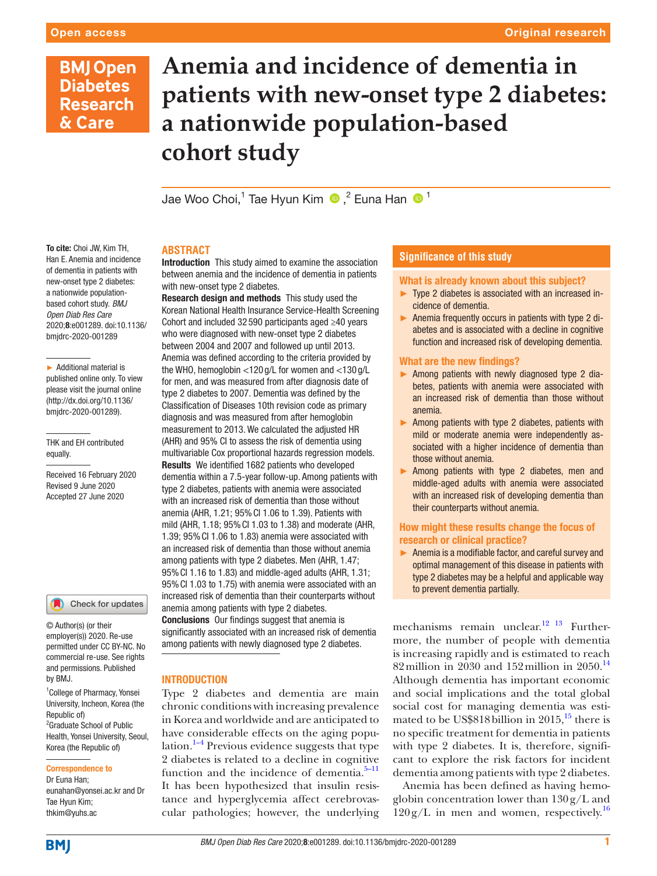# **BMJ Open Diabetes Research** & Care

# **Anemia and incidence of dementia in patients with new-onset type 2 diabetes: a nationwide population-based cohort study**

Jae Woo Choi,1 Tae Hyun Kim,2 Euna Han <sup>1</sup>

### To cite: Choi JW, Kim TH, Han E. Anemia and incidence of dementia in patients with new-onset type 2 diabetes: a nationwide populationbased cohort study. *BMJ Open Diab Res Care* 2020;8:e001289. doi:10.1136/ bmjdrc-2020-001289

► Additional material is published online only. To view please visit the journal online (http://dx.doi.org/10.1136/ bmjdrc-2020-001289).

THK and EH contributed equally.

Received 16 February 2020 Revised 9 June 2020 Accepted 27 June 2020



© Author(s) (or their employer(s)) 2020. Re-use permitted under CC BY-NC. No commercial re-use. See rights and permissions. Published by BMJ.

<sup>1</sup> College of Pharmacy, Yonsei University, Incheon, Korea (the Republic of) <sup>2</sup> Graduate School of Public Health, Yonsei University, Seoul, Korea (the Republic of)

# Correspondence to

Dr Euna Han; eunahan@yonsei.ac.kr and Dr Tae Hyun Kim; thkim@yuhs.ac

# **ABSTRACT**

Introduction This study aimed to examine the association between anemia and the incidence of dementia in patients with new-onset type 2 diabetes.

Research design and methods This study used the Korean National Health Insurance Service-Health Screening Cohort and included 32 590 participants aged ≥40 years who were diagnosed with new-onset type 2 diabetes between 2004 and 2007 and followed up until 2013. Anemia was defined according to the criteria provided by the WHO, hemoglobin <120 g/L for women and <130 g/L for men, and was measured from after diagnosis date of type 2 diabetes to 2007. Dementia was defined by the Classification of Diseases 10th revision code as primary diagnosis and was measured from after hemoglobin measurement to 2013. We calculated the adjusted HR (AHR) and 95% CI to assess the risk of dementia using multivariable Cox proportional hazards regression models. Results We identified 1682 patients who developed dementia within a 7.5-year follow-up. Among patients with type 2 diabetes, patients with anemia were associated with an increased risk of dementia than those without anemia (AHR, 1.21; 95%CI 1.06 to 1.39). Patients with mild (AHR, 1.18; 95%CI 1.03 to 1.38) and moderate (AHR, 1.39; 95%CI 1.06 to 1.83) anemia were associated with an increased risk of dementia than those without anemia among patients with type 2 diabetes. Men (AHR, 1.47; 95%CI 1.16 to 1.83) and middle-aged adults (AHR, 1.31; 95%CI 1.03 to 1.75) with anemia were associated with an increased risk of dementia than their counterparts without anemia among patients with type 2 diabetes.

Conclusions Our findings suggest that anemia is significantly associated with an increased risk of dementia among patients with newly diagnosed type 2 diabetes.

# INTRODUCTION

Type 2 diabetes and dementia are main chronic conditions with increasing prevalence in Korea and worldwide and are anticipated to have considerable effects on the aging population. $1-4$  Previous evidence suggests that type 2 diabetes is related to a decline in cognitive function and the incidence of dementia.<sup>5-11</sup> It has been hypothesized that insulin resistance and hyperglycemia affect cerebrovascular pathologies; however, the underlying

# **Significance of this study**

# What is already known about this subject?

- ► Type 2 diabetes is associated with an increased incidence of dementia.
- ► Anemia frequently occurs in patients with type 2 diabetes and is associated with a decline in cognitive function and increased risk of developing dementia.

# What are the new findings?

- ► Among patients with newly diagnosed type 2 diabetes, patients with anemia were associated with an increased risk of dementia than those without anemia.
- ► Among patients with type 2 diabetes, patients with mild or moderate anemia were independently associated with a higher incidence of dementia than those without anemia.
- ► Among patients with type 2 diabetes, men and middle-aged adults with anemia were associated with an increased risk of developing dementia than their counterparts without anemia.

# How might these results change the focus of research or clinical practice?

► Anemia is a modifiable factor, and careful survey and optimal management of this disease in patients with type 2 diabetes may be a helpful and applicable way to prevent dementia partially.

mechanisms remain unclear.<sup>12</sup> <sup>13</sup> Furthermore, the number of people with dementia is increasing rapidly and is estimated to reach 82 million in 2030 and 152 million in  $2050$ .<sup>14</sup> Although dementia has important economic and social implications and the total global social cost for managing dementia was estimated to be US\$818 billion in 2015, $^{15}$  there is no specific treatment for dementia in patients with type 2 diabetes. It is, therefore, significant to explore the risk factors for incident dementia among patients with type 2 diabetes.

Anemia has been defined as having hemoglobin concentration lower than 130g/L and  $120 \text{ g/L}$  in men and women, respectively.<sup>16</sup>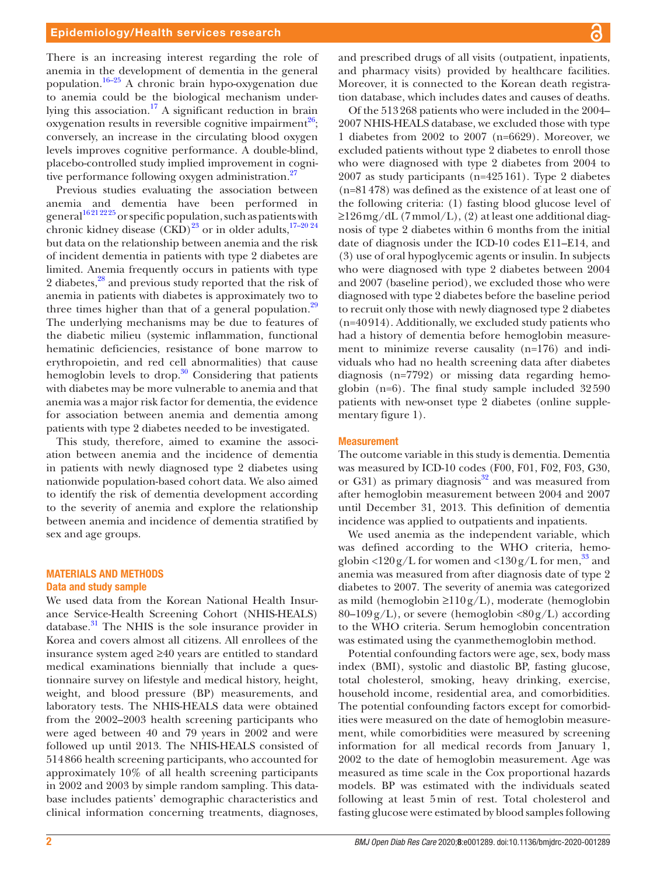There is an increasing interest regarding the role of anemia in the development of dementia in the general population.[16–25](#page-5-5) A chronic brain hypo-oxygenation due to anemia could be the biological mechanism underlying this association.<sup>17</sup> A significant reduction in brain oxygenation results in reversible cognitive impairment<sup>26</sup>; conversely, an increase in the circulating blood oxygen levels improves cognitive performance. A double-blind, placebo-controlled study implied improvement in cogni-tive performance following oxygen administration.<sup>[27](#page-6-1)</sup>

Previous studies evaluating the association between anemia and dementia have been performed in  $\frac{16212225}{200}$  or specific population, such as patients with chronic kidney disease  $(\widetilde{CKD})^{23}$  $(\widetilde{CKD})^{23}$  $(\widetilde{CKD})^{23}$  or in older adults,  $17-20.24$ but data on the relationship between anemia and the risk of incident dementia in patients with type 2 diabetes are limited. Anemia frequently occurs in patients with type 2 diabetes,<sup>[28](#page-6-2)</sup> and previous study reported that the risk of anemia in patients with diabetes is approximately two to three times higher than that of a general population. $29$ The underlying mechanisms may be due to features of the diabetic milieu (systemic inflammation, functional hematinic deficiencies, resistance of bone marrow to erythropoietin, and red cell abnormalities) that cause hemoglobin levels to drop. $30 \text{ Considering that patients}$  $30 \text{ Considering that patients}$ with diabetes may be more vulnerable to anemia and that anemia was a major risk factor for dementia, the evidence for association between anemia and dementia among patients with type 2 diabetes needed to be investigated.

This study, therefore, aimed to examine the association between anemia and the incidence of dementia in patients with newly diagnosed type 2 diabetes using nationwide population-based cohort data. We also aimed to identify the risk of dementia development according to the severity of anemia and explore the relationship between anemia and incidence of dementia stratified by sex and age groups.

# MATERIALS AND METHODS

# Data and study sample

We used data from the Korean National Health Insurance Service-Health Screening Cohort (NHIS-HEALS) database.<sup>[31](#page-6-5)</sup> The NHIS is the sole insurance provider in Korea and covers almost all citizens. All enrollees of the insurance system aged ≥40 years are entitled to standard medical examinations biennially that include a questionnaire survey on lifestyle and medical history, height, weight, and blood pressure (BP) measurements, and laboratory tests. The NHIS-HEALS data were obtained from the 2002–2003 health screening participants who were aged between 40 and 79 years in 2002 and were followed up until 2013. The NHIS-HEALS consisted of 514866 health screening participants, who accounted for approximately 10% of all health screening participants in 2002 and 2003 by simple random sampling. This database includes patients' demographic characteristics and clinical information concerning treatments, diagnoses,

and prescribed drugs of all visits (outpatient, inpatients, and pharmacy visits) provided by healthcare facilities. Moreover, it is connected to the Korean death registration database, which includes dates and causes of deaths.

Of the 513268 patients who were included in the 2004– 2007 NHIS-HEALS database, we excluded those with type 1 diabetes from 2002 to 2007 (n=6629). Moreover, we excluded patients without type 2 diabetes to enroll those who were diagnosed with type 2 diabetes from 2004 to 2007 as study participants (n=425161). Type 2 diabetes (n=81478) was defined as the existence of at least one of the following criteria: (1) fasting blood glucose level of ≥126mg/dL (7mmol/L), (2) at least one additional diagnosis of type 2 diabetes within 6 months from the initial date of diagnosis under the ICD-10 codes E11–E14, and (3) use of oral hypoglycemic agents or insulin. In subjects who were diagnosed with type 2 diabetes between 2004 and 2007 (baseline period), we excluded those who were diagnosed with type 2 diabetes before the baseline period to recruit only those with newly diagnosed type 2 diabetes (n=40914). Additionally, we excluded study patients who had a history of dementia before hemoglobin measurement to minimize reverse causality (n=176) and individuals who had no health screening data after diabetes diagnosis (n=7792) or missing data regarding hemoglobin (n=6). The final study sample included 32590 patients with new-onset type 2 diabetes ([online supple](https://dx.doi.org/10.1136/bmjdrc-2020-001289)[mentary figure 1](https://dx.doi.org/10.1136/bmjdrc-2020-001289)).

#### **Measurement**

The outcome variable in this study is dementia. Dementia was measured by ICD-10 codes (F00, F01, F02, F03, G30, or G31) as primary diagnosis<sup>32</sup> and was measured from after hemoglobin measurement between 2004 and 2007 until December 31, 2013. This definition of dementia incidence was applied to outpatients and inpatients.

We used anemia as the independent variable, which was defined according to the WHO criteria, hemoglobin  $\langle 120 \text{ g/L}$  for women and  $\langle 130 \text{ g/L}$  for men,<sup>33</sup> and anemia was measured from after diagnosis date of type 2 diabetes to 2007. The severity of anemia was categorized as mild (hemoglobin  $\geq 110$  g/L), moderate (hemoglobin  $80-109$  g/L), or severe (hemoglobin < $80$  g/L) according to the WHO criteria. Serum hemoglobin concentration was estimated using the cyanmethemoglobin method.

Potential confounding factors were age, sex, body mass index (BMI), systolic and diastolic BP, fasting glucose, total cholesterol, smoking, heavy drinking, exercise, household income, residential area, and comorbidities. The potential confounding factors except for comorbidities were measured on the date of hemoglobin measurement, while comorbidities were measured by screening information for all medical records from January 1, 2002 to the date of hemoglobin measurement. Age was measured as time scale in the Cox proportional hazards models. BP was estimated with the individuals seated following at least 5min of rest. Total cholesterol and fasting glucose were estimated by blood samples following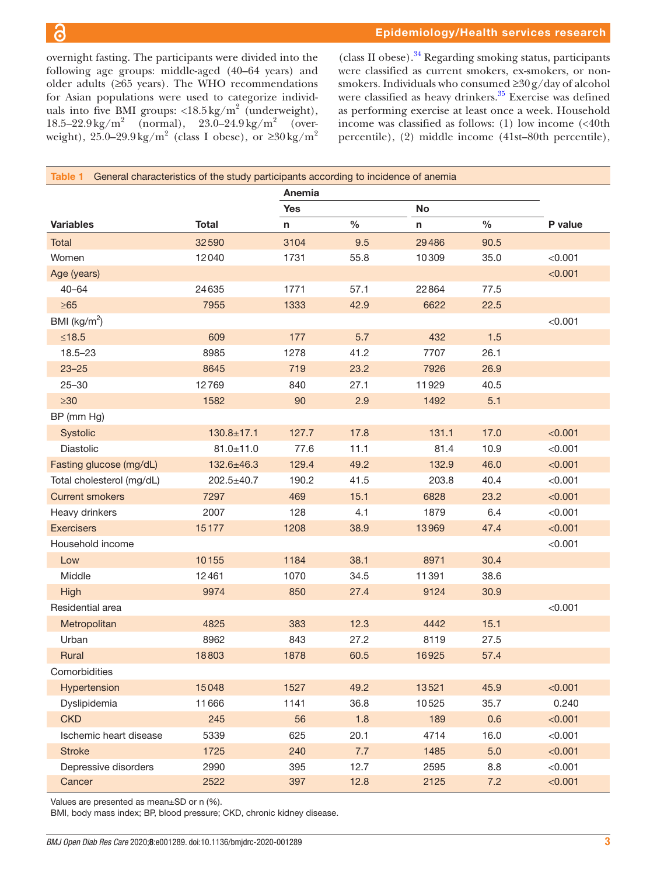overnight fasting. The participants were divided into the following age groups: middle-aged (40–64 years) and older adults (≥65 years). The WHO recommendations for Asian populations were used to categorize individuals into five BMI groups:  $\langle 18.5 \text{ kg/m}^2 \text{ (underweight)},$  $18.5-22.9 \,\mathrm{kg/m^2}$  (normal),  $23.0-24.9 \,\mathrm{kg/m^2}$  (overweight), 25.0–29.9kg/m<sup>2</sup> (class I obese), or  $\geq 30 \text{kg/m}^2$ 

 $(class II obese).$ <sup>34</sup> Regarding smoking status, participants were classified as current smokers, ex-smokers, or nonsmokers. Individuals who consumed ≥30g/day of alcohol were classified as heavy drinkers.<sup>35</sup> Exercise was defined as performing exercise at least once a week. Household income was classified as follows: (1) low income (<40th percentile), (2) middle income (41st–80th percentile),

<span id="page-2-0"></span>

| Table 1                   |                  | General characteristics of the study participants according to incidence of anemia<br>Anemia |             |                |              |         |  |
|---------------------------|------------------|----------------------------------------------------------------------------------------------|-------------|----------------|--------------|---------|--|
|                           |                  |                                                                                              |             |                |              |         |  |
| <b>Variables</b>          | <b>Total</b>     | <b>Yes</b><br>n                                                                              | $\%$        | No<br>n        | $\%$         | P value |  |
|                           |                  |                                                                                              |             |                |              |         |  |
| Total<br>Women            | 32590<br>12040   | 3104<br>1731                                                                                 | 9.5<br>55.8 | 29486<br>10309 | 90.5<br>35.0 | < 0.001 |  |
|                           |                  |                                                                                              |             |                |              | < 0.001 |  |
| Age (years)<br>$40 - 64$  | 24635            | 1771                                                                                         | 57.1        | 22864          | 77.5         |         |  |
| $\geq 65$                 | 7955             | 1333                                                                                         | 42.9        | 6622           | 22.5         |         |  |
| BMI ( $\text{kg/m}^2$ )   |                  |                                                                                              |             |                |              | < 0.001 |  |
| $≤18.5$                   | 609              | 177                                                                                          | 5.7         |                | 1.5          |         |  |
|                           |                  |                                                                                              |             | 432            |              |         |  |
| $18.5 - 23$               | 8985             | 1278                                                                                         | 41.2        | 7707           | 26.1         |         |  |
| $23 - 25$                 | 8645             | 719                                                                                          | 23.2        | 7926           | 26.9         |         |  |
| $25 - 30$                 | 12769            | 840                                                                                          | 27.1        | 11929          | 40.5         |         |  |
| $\geq 30$                 | 1582             | 90                                                                                           | 2.9         | 1492           | 5.1          |         |  |
| BP (mm Hg)                |                  |                                                                                              |             |                |              |         |  |
| Systolic                  | $130.8 + 17.1$   | 127.7                                                                                        | 17.8        | 131.1          | 17.0         | < 0.001 |  |
| Diastolic                 | $81.0 \pm 11.0$  | 77.6                                                                                         | 11.1        | 81.4           | 10.9         | < 0.001 |  |
| Fasting glucose (mg/dL)   | 132.6±46.3       | 129.4                                                                                        | 49.2        | 132.9          | 46.0         | < 0.001 |  |
| Total cholesterol (mg/dL) | $202.5 \pm 40.7$ | 190.2                                                                                        | 41.5        | 203.8          | 40.4         | < 0.001 |  |
| <b>Current smokers</b>    | 7297             | 469                                                                                          | 15.1        | 6828           | 23.2         | < 0.001 |  |
| Heavy drinkers            | 2007             | 128                                                                                          | 4.1         | 1879           | 6.4          | < 0.001 |  |
| <b>Exercisers</b>         | 15177            | 1208                                                                                         | 38.9        | 13969          | 47.4         | < 0.001 |  |
| Household income          |                  |                                                                                              |             |                |              | < 0.001 |  |
| Low                       | 10155            | 1184                                                                                         | 38.1        | 8971           | 30.4         |         |  |
| Middle                    | 12461            | 1070                                                                                         | 34.5        | 11391          | 38.6         |         |  |
| High                      | 9974             | 850                                                                                          | 27.4        | 9124           | 30.9         |         |  |
| Residential area          |                  |                                                                                              |             |                |              | < 0.001 |  |
| Metropolitan              | 4825             | 383                                                                                          | 12.3        | 4442           | 15.1         |         |  |
| Urban                     | 8962             | 843                                                                                          | 27.2        | 8119           | 27.5         |         |  |
| Rural                     | 18803            | 1878                                                                                         | 60.5        | 16925          | 57.4         |         |  |
| Comorbidities             |                  |                                                                                              |             |                |              |         |  |
| Hypertension              | 15048            | 1527                                                                                         | 49.2        | 13521          | 45.9         | < 0.001 |  |
| Dyslipidemia              | 11666            | 1141                                                                                         | 36.8        | 10525          | 35.7         | 0.240   |  |
| <b>CKD</b>                | 245              | 56                                                                                           | 1.8         | 189            | 0.6          | < 0.001 |  |
| Ischemic heart disease    | 5339             | 625                                                                                          | 20.1        | 4714           | 16.0         | < 0.001 |  |
| <b>Stroke</b>             | 1725             | 240                                                                                          | 7.7         | 1485           | 5.0          | < 0.001 |  |
| Depressive disorders      | 2990             | 395                                                                                          | 12.7        | 2595           | 8.8          | < 0.001 |  |
| Cancer                    | 2522             | 397                                                                                          | 12.8        | 2125           | 7.2          | < 0.001 |  |

Values are presented as mean±SD or n (%).

BMI, body mass index; BP, blood pressure; CKD, chronic kidney disease.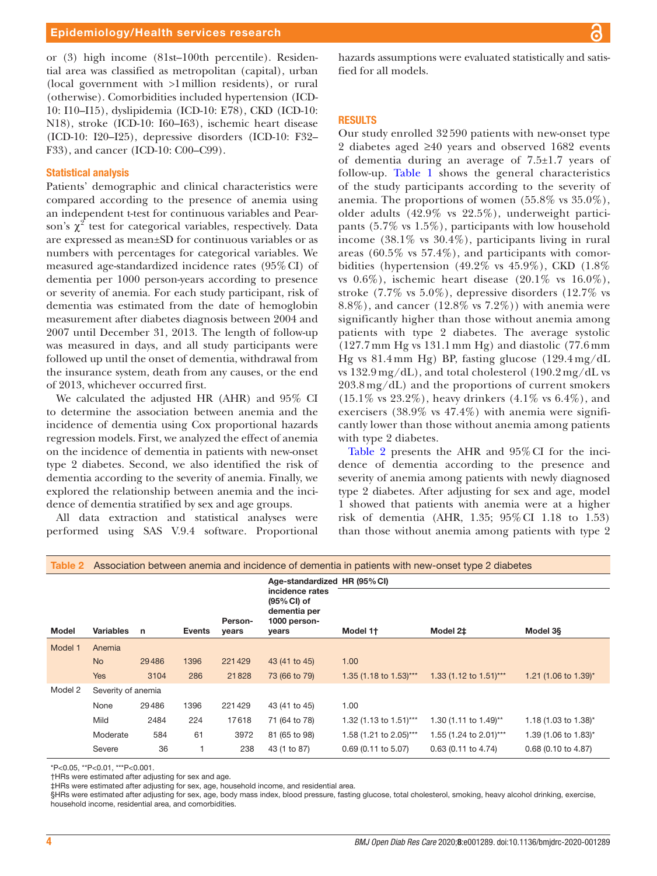or (3) high income (81st–100th percentile). Residential area was classified as metropolitan (capital), urban (local government with >1million residents), or rural (otherwise). Comorbidities included hypertension (ICD-10: I10–I15), dyslipidemia (ICD-10: E78), CKD (ICD-10: N18), stroke (ICD-10: I60–I63), ischemic heart disease (ICD-10: I20–I25), depressive disorders (ICD-10: F32– F33), and cancer (ICD-10: C00–C99).

## Statistical analysis

Patients' demographic and clinical characteristics were compared according to the presence of anemia using an independent t-test for continuous variables and Pearson's  $\chi^2$  test for categorical variables, respectively. Data are expressed as mean±SD for continuous variables or as numbers with percentages for categorical variables. We measured age-standardized incidence rates (95%CI) of dementia per 1000 person-years according to presence or severity of anemia. For each study participant, risk of dementia was estimated from the date of hemoglobin measurement after diabetes diagnosis between 2004 and 2007 until December 31, 2013. The length of follow-up was measured in days, and all study participants were followed up until the onset of dementia, withdrawal from the insurance system, death from any causes, or the end of 2013, whichever occurred first.

We calculated the adjusted HR (AHR) and 95% CI to determine the association between anemia and the incidence of dementia using Cox proportional hazards regression models. First, we analyzed the effect of anemia on the incidence of dementia in patients with new-onset type 2 diabetes. Second, we also identified the risk of dementia according to the severity of anemia. Finally, we explored the relationship between anemia and the incidence of dementia stratified by sex and age groups.

All data extraction and statistical analyses were performed using SAS V.9.4 software. Proportional

hazards assumptions were evaluated statistically and satisfied for all models.

#### RESULTS

Our study enrolled 32 590 patients with new-onset type 2 diabetes aged ≥40 years and observed 1682 events of dementia during an average of 7.5±1.7 years of follow-up. [Table](#page-2-0) 1 shows the general characteristics of the study participants according to the severity of anemia. The proportions of women (55.8% vs 35.0%), older adults (42.9% vs 22.5%), underweight participants (5.7% vs 1.5%), participants with low household income (38.1% vs 30.4%), participants living in rural areas (60.5% vs 57.4%), and participants with comorbidities (hypertension (49.2% vs 45.9%), CKD (1.8% vs  $0.6\%$ ), ischemic heart disease  $(20.1\% \text{ vs } 16.0\%),$ stroke (7.7% vs 5.0%), depressive disorders (12.7% vs 8.8%), and cancer (12.8% vs 7.2%)) with anemia were significantly higher than those without anemia among patients with type 2 diabetes. The average systolic (127.7 mm Hg vs 131.1 mm Hg) and diastolic (77.6 mm Hg vs 81.4 mm Hg) BP, fasting glucose (129.4 mg/dL vs  $132.9 \,\text{mg/dL}$ ), and total cholesterol  $(190.2 \,\text{mg/dL}$  vs 203.8 mg/dL) and the proportions of current smokers  $(15.1\% \text{ vs } 23.2\%), \text{ heavy drifters } (4.1\% \text{ vs } 6.4\%), \text{ and}$ exercisers  $(38.9\% \text{ vs } 47.4\%)$  with anemia were significantly lower than those without anemia among patients with type 2 diabetes.

[Table](#page-3-0) 2 presents the AHR and 95%CI for the incidence of dementia according to the presence and severity of anemia among patients with newly diagnosed type 2 diabetes. After adjusting for sex and age, model 1 showed that patients with anemia were at a higher risk of dementia (AHR, 1.35; 95%CI 1.18 to 1.53) than those without anemia among patients with type 2

<span id="page-3-0"></span>

| Association between anemia and incidence of dementia in patients with new-onset type 2 diabetes<br>Table 2 |                    |             |               |                  |                                                                                                         |                        |                        |                      |  |  |  |
|------------------------------------------------------------------------------------------------------------|--------------------|-------------|---------------|------------------|---------------------------------------------------------------------------------------------------------|------------------------|------------------------|----------------------|--|--|--|
|                                                                                                            |                    | $\mathbf n$ | <b>Events</b> | Person-<br>years | Age-standardized HR (95% CI)<br>incidence rates<br>(95% CI) of<br>dementia per<br>1000 person-<br>years |                        |                        |                      |  |  |  |
| <b>Model</b>                                                                                               | <b>Variables</b>   |             |               |                  |                                                                                                         | Model 1†               | Model 2‡               | Model 3§             |  |  |  |
| Model 1                                                                                                    | Anemia             |             |               |                  |                                                                                                         |                        |                        |                      |  |  |  |
|                                                                                                            | <b>No</b>          | 29486       | 1396          | 221429           | 43 (41 to 45)                                                                                           | 1.00                   |                        |                      |  |  |  |
|                                                                                                            | <b>Yes</b>         | 3104        | 286           | 21828            | 73 (66 to 79)                                                                                           | 1.35 (1.18 to 1.53)*** | 1.33 (1.12 to 1.51)*** | 1.21 (1.06 to 1.39)* |  |  |  |
| Model 2                                                                                                    | Severity of anemia |             |               |                  |                                                                                                         |                        |                        |                      |  |  |  |
|                                                                                                            | None               | 29486       | 1396          | 221429           | 43 (41 to 45)                                                                                           | 1.00                   |                        |                      |  |  |  |
|                                                                                                            | Mild               | 2484        | 224           | 17618            | 71 (64 to 78)                                                                                           | 1.32 (1.13 to 1.51)*** | 1.30 (1.11 to 1.49)**  | 1.18 (1.03 to 1.38)* |  |  |  |
|                                                                                                            | Moderate           | 584         | 61            | 3972             | 81 (65 to 98)                                                                                           | 1.58 (1.21 to 2.05)*** | 1.55 (1.24 to 2.01)*** | 1.39 (1.06 to 1.83)* |  |  |  |
|                                                                                                            | Severe             | 36          |               | 238              | 43 (1 to 87)                                                                                            | $0.69$ (0.11 to 5.07)  | $0.63$ (0.11 to 4.74)  | 0.68 (0.10 to 4.87)  |  |  |  |

\*P<0.05, \*\*P<0.01, \*\*\*P<0.001.

†HRs were estimated after adjusting for sex and age.

‡HRs were estimated after adjusting for sex, age, household income, and residential area.

§HRs were estimated after adjusting for sex, age, body mass index, blood pressure, fasting glucose, total cholesterol, smoking, heavy alcohol drinking, exercise, household income, residential area, and comorbidities.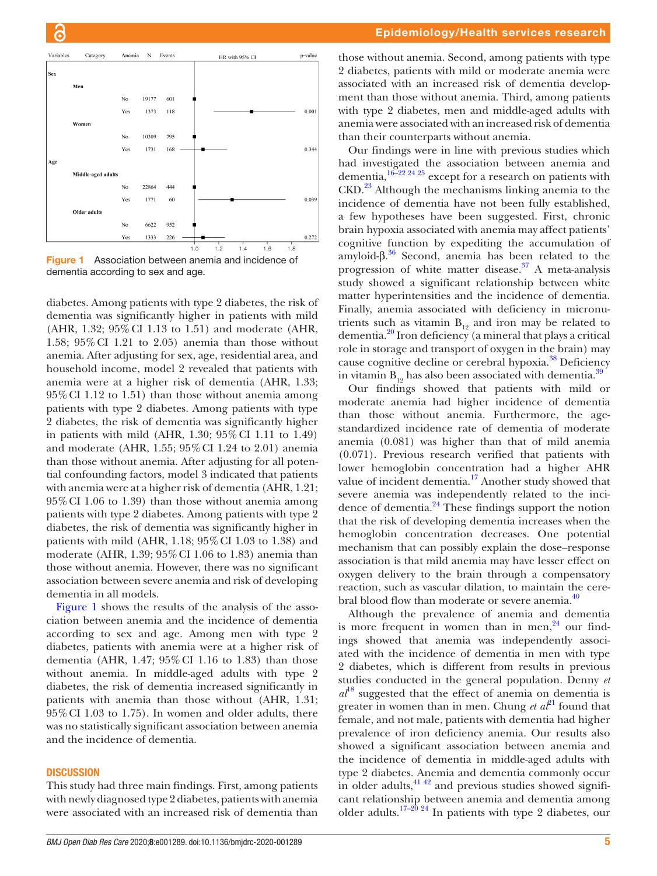

<span id="page-4-0"></span>Figure 1 Association between anemia and incidence of dementia according to sex and age.

diabetes. Among patients with type 2 diabetes, the risk of dementia was significantly higher in patients with mild (AHR, 1.32; 95%CI 1.13 to 1.51) and moderate (AHR, 1.58; 95%CI 1.21 to 2.05) anemia than those without anemia. After adjusting for sex, age, residential area, and household income, model 2 revealed that patients with anemia were at a higher risk of dementia (AHR, 1.33; 95%CI 1.12 to 1.51) than those without anemia among patients with type 2 diabetes. Among patients with type 2 diabetes, the risk of dementia was significantly higher in patients with mild (AHR, 1.30; 95%CI 1.11 to 1.49) and moderate (AHR, 1.55; 95%CI 1.24 to 2.01) anemia than those without anemia. After adjusting for all potential confounding factors, model 3 indicated that patients with anemia were at a higher risk of dementia (AHR, 1.21; 95%CI 1.06 to 1.39) than those without anemia among patients with type 2 diabetes. Among patients with type 2 diabetes, the risk of dementia was significantly higher in patients with mild (AHR, 1.18; 95%CI 1.03 to 1.38) and moderate (AHR, 1.39; 95%CI 1.06 to 1.83) anemia than those without anemia. However, there was no significant association between severe anemia and risk of developing dementia in all models.

[Figure](#page-4-0) 1 shows the results of the analysis of the association between anemia and the incidence of dementia according to sex and age. Among men with type 2 diabetes, patients with anemia were at a higher risk of dementia (AHR, 1.47; 95%CI 1.16 to 1.83) than those without anemia. In middle-aged adults with type 2 diabetes, the risk of dementia increased significantly in patients with anemia than those without (AHR, 1.31; 95%CI 1.03 to 1.75). In women and older adults, there was no statistically significant association between anemia and the incidence of dementia.

# **DISCUSSION**

This study had three main findings. First, among patients with newly diagnosed type 2 diabetes, patients with anemia were associated with an increased risk of dementia than

those without anemia. Second, among patients with type 2 diabetes, patients with mild or moderate anemia were associated with an increased risk of dementia development than those without anemia. Third, among patients with type 2 diabetes, men and middle-aged adults with anemia were associated with an increased risk of dementia than their counterparts without anemia.

Our findings were in line with previous studies which had investigated the association between anemia and dementia,  $16\frac{16}{22}$   $24\frac{25}{25}$  except for a research on patients with CKD.<sup>23</sup> Although the mechanisms linking anemia to the incidence of dementia have not been fully established, a few hypotheses have been suggested. First, chronic brain hypoxia associated with anemia may affect patients' cognitive function by expediting the accumulation of amyloid-β. [36](#page-6-10) Second, anemia has been related to the progression of white matter disease. $37$  A meta-analysis study showed a significant relationship between white matter hyperintensities and the incidence of dementia. Finally, anemia associated with deficiency in micronutrients such as vitamin  $B_{19}$  and iron may be related to dementia.[20](#page-5-8) Iron deficiency (a mineral that plays a critical role in storage and transport of oxygen in the brain) may cause cognitive decline or cerebral hypoxia.<sup>38</sup> Deficiency in vitamin  $B_{19}$  has also been associated with dementia.<sup>39</sup>

Our findings showed that patients with mild or moderate anemia had higher incidence of dementia than those without anemia. Furthermore, the agestandardized incidence rate of dementia of moderate anemia (0.081) was higher than that of mild anemia (0.071). Previous research verified that patients with lower hemoglobin concentration had a higher AHR value of incident dementia.<sup>17</sup> Another study showed that severe anemia was independently related to the incidence of dementia[.24](#page-6-14) These findings support the notion that the risk of developing dementia increases when the hemoglobin concentration decreases. One potential mechanism that can possibly explain the dose–response association is that mild anemia may have lesser effect on oxygen delivery to the brain through a compensatory reaction, such as vascular dilation, to maintain the cere-bral blood flow than moderate or severe anemia.<sup>[40](#page-6-15)</sup>

Although the prevalence of anemia and dementia is more frequent in women than in men, $24$  our findings showed that anemia was independently associated with the incidence of dementia in men with type 2 diabetes, which is different from results in previous studies conducted in the general population. Denny *et*   $a^{18}$  $a^{18}$  $a^{18}$  suggested that the effect of anemia on dementia is greater in women than in men. Chung *et al*<sup>21</sup> found that female, and not male, patients with dementia had higher prevalence of iron deficiency anemia. Our results also showed a significant association between anemia and the incidence of dementia in middle-aged adults with type 2 diabetes. Anemia and dementia commonly occur in older adults,  $41\frac{42}{2}$  and previous studies showed significant relationship between anemia and dementia among older adults. $17-20.24$  In patients with type 2 diabetes, our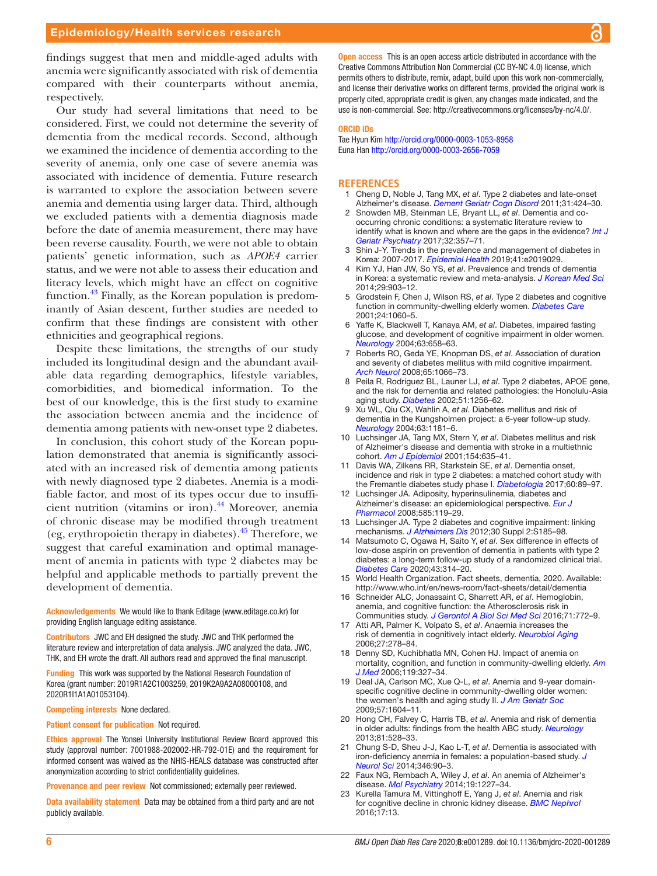findings suggest that men and middle-aged adults with anemia were significantly associated with risk of dementia compared with their counterparts without anemia, respectively.

Our study had several limitations that need to be considered. First, we could not determine the severity of dementia from the medical records. Second, although we examined the incidence of dementia according to the severity of anemia, only one case of severe anemia was associated with incidence of dementia. Future research is warranted to explore the association between severe anemia and dementia using larger data. Third, although we excluded patients with a dementia diagnosis made before the date of anemia measurement, there may have been reverse causality. Fourth, we were not able to obtain patients' genetic information, such as *APOE4* carrier status, and we were not able to assess their education and literacy levels, which might have an effect on cognitive function.[43](#page-6-17) Finally, as the Korean population is predominantly of Asian descent, further studies are needed to confirm that these findings are consistent with other ethnicities and geographical regions.

Despite these limitations, the strengths of our study included its longitudinal design and the abundant available data regarding demographics, lifestyle variables, comorbidities, and biomedical information. To the best of our knowledge, this is the first study to examine the association between anemia and the incidence of dementia among patients with new-onset type 2 diabetes.

In conclusion, this cohort study of the Korean population demonstrated that anemia is significantly associated with an increased risk of dementia among patients with newly diagnosed type 2 diabetes. Anemia is a modifiable factor, and most of its types occur due to insufficient nutrition (vitamins or iron). $^{44}$  $^{44}$  $^{44}$  Moreover, anemia of chronic disease may be modified through treatment (eg, erythropoietin therapy in diabetes). $45$  Therefore, we suggest that careful examination and optimal management of anemia in patients with type 2 diabetes may be helpful and applicable methods to partially prevent the development of dementia.

Acknowledgements We would like to thank Editage (www.editage.co.kr) for providing English language editing assistance.

Contributors JWC and EH designed the study. JWC and THK performed the literature review and interpretation of data analysis. JWC analyzed the data. JWC, THK, and EH wrote the draft. All authors read and approved the final manuscript.

Funding This work was supported by the National Research Foundation of Korea (grant number: 2019R1A2C1003259, 2019K2A9A2A08000108, and 2020R1I1A1A01053104).

#### Competing interests None declared.

Patient consent for publication Not required.

Ethics approval The Yonsei University Institutional Review Board approved this study (approval number: 7001988-202002-HR-792-01E) and the requirement for informed consent was waived as the NHIS-HEALS database was constructed after anonymization according to strict confidentiality guidelines.

Provenance and peer review Not commissioned; externally peer reviewed.

Data availability statement Data may be obtained from a third party and are not publicly available.

**Open access** This is an open access article distributed in accordance with the Creative Commons Attribution Non Commercial (CC BY-NC 4.0) license, which permits others to distribute, remix, adapt, build upon this work non-commercially, and license their derivative works on different terms, provided the original work is properly cited, appropriate credit is given, any changes made indicated, and the use is non-commercial. See:<http://creativecommons.org/licenses/by-nc/4.0/>.

#### ORCID iDs

Tae Hyun Kim<http://orcid.org/0000-0003-1053-8958> Euna Han <http://orcid.org/0000-0003-2656-7059>

#### **REFERENCES**

- <span id="page-5-0"></span>1 Cheng D, Noble J, Tang MX, *et al*. Type 2 diabetes and late-onset Alzheimer's disease. *[Dement Geriatr Cogn Disord](http://dx.doi.org/10.1159/000324134)* 2011;31:424–30.
- 2 Snowden MB, Steinman LE, Bryant LL, *et al*. Dementia and cooccurring chronic conditions: a systematic literature review to identify what is known and where are the gaps in the evidence? *[Int J](http://dx.doi.org/10.1002/gps.4652)  [Geriatr Psychiatry](http://dx.doi.org/10.1002/gps.4652)* 2017;32:357–71.
- 3 Shin J-Y. Trends in the prevalence and management of diabetes in Korea: 2007-2017. *[Epidemiol Health](http://dx.doi.org/10.4178/epih.e2019029)* 2019;41:e2019029.
- 4 Kim YJ, Han JW, So YS, *et al*. Prevalence and trends of dementia in Korea: a systematic review and meta-analysis. *[J Korean Med Sci](http://dx.doi.org/10.3346/jkms.2014.29.7.903)* 2014;29:903–12.
- <span id="page-5-1"></span>5 Grodstein F, Chen J, Wilson RS, *et al*. Type 2 diabetes and cognitive function in community-dwelling elderly women. *[Diabetes Care](http://dx.doi.org/10.2337/diacare.24.6.1060)* 2001;24:1060–5.
- 6 Yaffe K, Blackwell T, Kanaya AM, *et al*. Diabetes, impaired fasting glucose, and development of cognitive impairment in older women. *[Neurology](http://dx.doi.org/10.1212/01.WNL.0000134666.64593.BA)* 2004;63:658–63.
- 7 Roberts RO, Geda YE, Knopman DS, *et al*. Association of duration and severity of diabetes mellitus with mild cognitive impairment. *[Arch Neurol](http://dx.doi.org/10.1001/archneur.65.8.1066)* 2008;65:1066–73.
- 8 Peila R, Rodriguez BL, Launer LJ, *et al*. Type 2 diabetes, APOE gene, and the risk for dementia and related pathologies: the Honolulu-Asia aging study. *[Diabetes](http://dx.doi.org/10.2337/diabetes.51.4.1256)* 2002;51:1256–62.
- 9 Xu WL, Qiu CX, Wahlin A, *et al*. Diabetes mellitus and risk of dementia in the Kungsholmen project: a 6-year follow-up study. *[Neurology](http://dx.doi.org/10.1212/01.wnl.0000140291.86406.d1)* 2004;63:1181–6.
- 10 Luchsinger JA, Tang MX, Stern Y, *et al*. Diabetes mellitus and risk of Alzheimer's disease and dementia with stroke in a multiethnic cohort. *[Am J Epidemiol](http://dx.doi.org/10.1093/aje/154.7.635)* 2001;154:635–41.
- 11 Davis WA, Zilkens RR, Starkstein SE, *et al*. Dementia onset, incidence and risk in type 2 diabetes: a matched cohort study with the Fremantle diabetes study phase I. *[Diabetologia](http://dx.doi.org/10.1007/s00125-016-4127-9)* 2017;60:89–97.
- <span id="page-5-2"></span>12 Luchsinger JA. Adiposity, hyperinsulinemia, diabetes and Alzheimer's disease: an epidemiological perspective. *[Eur J](http://dx.doi.org/10.1016/j.ejphar.2008.02.048)  [Pharmacol](http://dx.doi.org/10.1016/j.ejphar.2008.02.048)* 2008;585:119–29.
- 13 Luchsinger JA. Type 2 diabetes and cognitive impairment: linking mechanisms. *[J Alzheimers Dis](http://dx.doi.org/10.3233/JAD-2012-111433)* 2012;30 Suppl 2:S185–98.
- <span id="page-5-3"></span>14 Matsumoto C, Ogawa H, Saito Y, *et al*. Sex difference in effects of low-dose aspirin on prevention of dementia in patients with type 2 diabetes: a long-term follow-up study of a randomized clinical trial. *[Diabetes Care](http://dx.doi.org/10.2337/dc19-1188)* 2020;43:314–20.
- <span id="page-5-4"></span>15 World Health Organization. Fact sheets, dementia, 2020. Available: <http://www.who.int/en/news-room/fact-sheets/detail/dementia>
- <span id="page-5-5"></span>16 Schneider ALC, Jonassaint C, Sharrett AR, *et al*. Hemoglobin, anemia, and cognitive function: the Atherosclerosis risk in Communities study. *[J Gerontol A Biol Sci Med Sci](http://dx.doi.org/10.1093/gerona/glv158)* 2016;71:772–9.
- <span id="page-5-6"></span>17 Atti AR, Palmer K, Volpato S, *et al*. Anaemia increases the risk of dementia in cognitively intact elderly. *[Neurobiol Aging](http://dx.doi.org/10.1016/j.neurobiolaging.2005.02.007)* 2006;27:278–84.
- <span id="page-5-9"></span>18 Denny SD, Kuchibhatla MN, Cohen HJ. Impact of anemia on mortality, cognition, and function in community-dwelling elderly. *[Am](http://dx.doi.org/10.1016/j.amjmed.2005.08.027)  [J Med](http://dx.doi.org/10.1016/j.amjmed.2005.08.027)* 2006;119:327–34.
- 19 Deal JA, Carlson MC, Xue Q-L, *et al*. Anemia and 9-year domainspecific cognitive decline in community-dwelling older women: the women's health and aging study II. *[J Am Geriatr Soc](http://dx.doi.org/10.1111/j.1532-5415.2009.02400.x)* 2009;57:1604–11.
- <span id="page-5-8"></span>20 Hong CH, Falvey C, Harris TB, *et al*. Anemia and risk of dementia in older adults: findings from the health ABC study. *[Neurology](http://dx.doi.org/10.1212/WNL.0b013e31829e701d)* 2013;81:528–33.
- <span id="page-5-10"></span>21 Chung S-D, Sheu J-J, Kao L-T, *et al*. Dementia is associated with iron-deficiency anemia in females: a population-based study. *[J](http://dx.doi.org/10.1016/j.jns.2014.07.062)  [Neurol Sci](http://dx.doi.org/10.1016/j.jns.2014.07.062)* 2014;346:90–3.
- 22 Faux NG, Rembach A, Wiley J, *et al*. An anemia of Alzheimer's disease. *[Mol Psychiatry](http://dx.doi.org/10.1038/mp.2013.178)* 2014;19:1227–34.
- <span id="page-5-7"></span>23 Kurella Tamura M, Vittinghoff E, Yang J, *et al*. Anemia and risk for cognitive decline in chronic kidney disease. *[BMC Nephrol](http://dx.doi.org/10.1186/s12882-016-0226-6)* 2016;17:13.